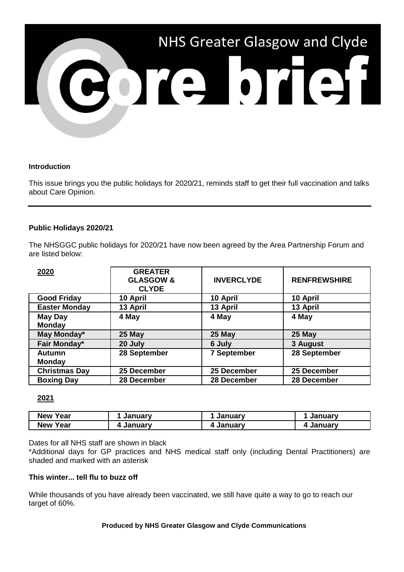

### **Introduction**

This issue brings you the public holidays for 2020/21, reminds staff to get their full vaccination and talks about Care Opinion.

## **Public Holidays 2020/21**

The NHSGGC public holidays for 2020/21 have now been agreed by the Area Partnership Forum and are listed below:

| 2020                            | <b>GREATER</b><br><b>GLASGOW &amp;</b><br><b>CLYDE</b> | <b>INVERCLYDE</b>  | <b>RENFREWSHIRE</b> |
|---------------------------------|--------------------------------------------------------|--------------------|---------------------|
| <b>Good Friday</b>              | 10 April                                               | 10 April           | 10 April            |
| <b>Easter Monday</b>            | 13 April                                               | 13 April           | 13 April            |
| <b>May Day</b><br><b>Monday</b> | 4 May                                                  | 4 May              | 4 May               |
| May Monday*                     | 25 May                                                 | 25 May             | 25 May              |
| Fair Monday*                    | 20 July                                                | 6 July             | 3 August            |
| Autumn<br><b>Monday</b>         | 28 September                                           | <b>7 September</b> | 28 September        |
| <b>Christmas Day</b>            | 25 December                                            | 25 December        | 25 December         |
| <b>Boxing Day</b>               | 28 December                                            | 28 December        | 28 December         |

## **2021**

| <b>New</b><br>Year | Januarv | ınuarv<br>Jal | Januarv |
|--------------------|---------|---------------|---------|
| rear<br><b>New</b> | January | <b>uarv</b>   | Januarv |

Dates for all NHS staff are shown in black

\*Additional days for GP practices and NHS medical staff only (including Dental Practitioners) are shaded and marked with an asterisk

#### **This winter... tell flu to buzz off**

While thousands of you have already been vaccinated, we still have quite a way to go to reach our target of 60%.

#### **Produced by NHS Greater Glasgow and Clyde Communications**